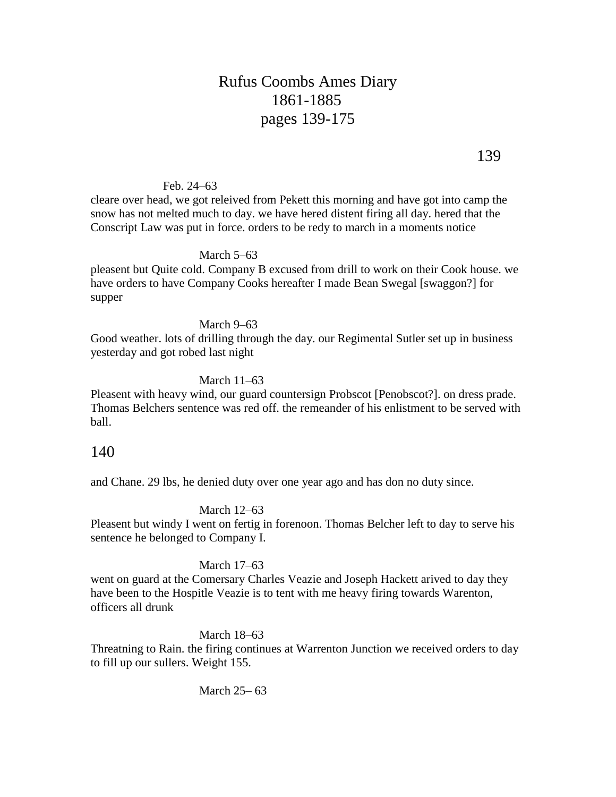# Rufus Coombs Ames Diary 1861-1885 pages 139-175

Feb. 24–63

cleare over head, we got releived from Pekett this morning and have got into camp the snow has not melted much to day. we have hered distent firing all day. hered that the Conscript Law was put in force. orders to be redy to march in a moments notice

#### March 5–63

pleasent but Quite cold. Company B excused from drill to work on their Cook house. we have orders to have Company Cooks hereafter I made Bean Swegal [swaggon?] for supper

March 9–63

Good weather. lots of drilling through the day. our Regimental Sutler set up in business yesterday and got robed last night

#### March 11–63

Pleasent with heavy wind, our guard countersign Probscot [Penobscot?]. on dress prade. Thomas Belchers sentence was red off. the remeander of his enlistment to be served with ball.

## 140

and Chane. 29 lbs, he denied duty over one year ago and has don no duty since.

#### March 12–63

Pleasent but windy I went on fertig in forenoon. Thomas Belcher left to day to serve his sentence he belonged to Company I.

#### March 17–63

went on guard at the Comersary Charles Veazie and Joseph Hackett arived to day they have been to the Hospitle Veazie is to tent with me heavy firing towards Warenton, officers all drunk

#### March 18–63

Threatning to Rain. the firing continues at Warrenton Junction we received orders to day to fill up our sullers. Weight 155.

#### March 25– 63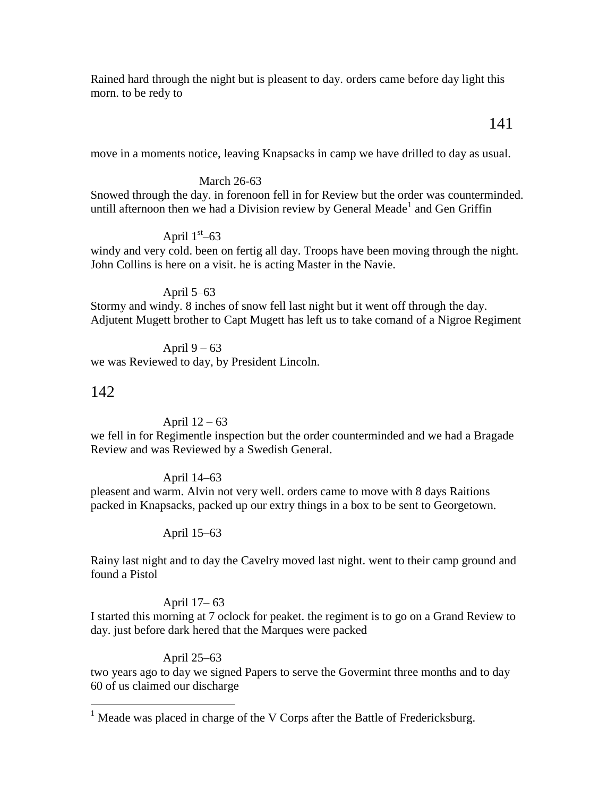Rained hard through the night but is pleasent to day. orders came before day light this morn. to be redy to

## 141

move in a moments notice, leaving Knapsacks in camp we have drilled to day as usual.

### March 26-63

Snowed through the day. in forenoon fell in for Review but the order was counterminded. untill afternoon then we had a Division review by General Meade<sup>1</sup> and Gen Griffin

## April  $1<sup>st</sup>$ –63

windy and very cold. been on fertig all day. Troops have been moving through the night. John Collins is here on a visit. he is acting Master in the Navie.

### April 5–63

Stormy and windy. 8 inches of snow fell last night but it went off through the day. Adjutent Mugett brother to Capt Mugett has left us to take comand of a Nigroe Regiment

April  $9 - 63$ we was Reviewed to day, by President Lincoln.

## 142

 $\overline{a}$ 

### April  $12 - 63$

we fell in for Regimentle inspection but the order counterminded and we had a Bragade Review and was Reviewed by a Swedish General.

### April 14–63

pleasent and warm. Alvin not very well. orders came to move with 8 days Raitions packed in Knapsacks, packed up our extry things in a box to be sent to Georgetown.

### April 15–63

Rainy last night and to day the Cavelry moved last night. went to their camp ground and found a Pistol

### April 17– 63

I started this morning at 7 oclock for peaket. the regiment is to go on a Grand Review to day. just before dark hered that the Marques were packed

### April 25–63

two years ago to day we signed Papers to serve the Govermint three months and to day 60 of us claimed our discharge

<sup>&</sup>lt;sup>1</sup> Meade was placed in charge of the V Corps after the Battle of Fredericksburg.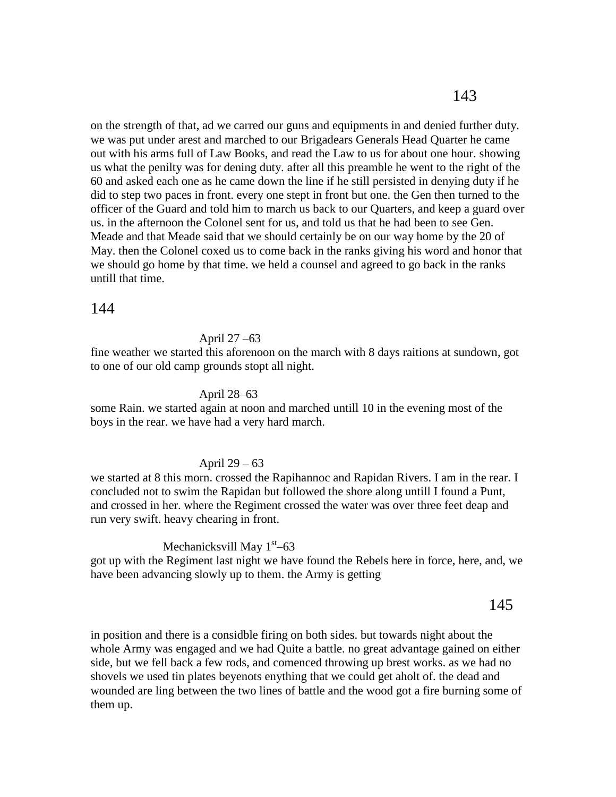on the strength of that, ad we carred our guns and equipments in and denied further duty. we was put under arest and marched to our Brigadears Generals Head Quarter he came out with his arms full of Law Books, and read the Law to us for about one hour. showing us what the penilty was for dening duty. after all this preamble he went to the right of the 60 and asked each one as he came down the line if he still persisted in denying duty if he did to step two paces in front. every one stept in front but one. the Gen then turned to the officer of the Guard and told him to march us back to our Quarters, and keep a guard over us. in the afternoon the Colonel sent for us, and told us that he had been to see Gen. Meade and that Meade said that we should certainly be on our way home by the 20 of May. then the Colonel coxed us to come back in the ranks giving his word and honor that we should go home by that time. we held a counsel and agreed to go back in the ranks untill that time.

## 144

### April 27 –63

fine weather we started this aforenoon on the march with 8 days raitions at sundown, got to one of our old camp grounds stopt all night.

### April 28–63

some Rain. we started again at noon and marched untill 10 in the evening most of the boys in the rear. we have had a very hard march.

#### April 29 – 63

we started at 8 this morn. crossed the Rapihannoc and Rapidan Rivers. I am in the rear. I concluded not to swim the Rapidan but followed the shore along untill I found a Punt, and crossed in her. where the Regiment crossed the water was over three feet deap and run very swift. heavy chearing in front.

## Mechanicksvill May 1<sup>st</sup>–63

got up with the Regiment last night we have found the Rebels here in force, here, and, we have been advancing slowly up to them. the Army is getting

## 145

in position and there is a considble firing on both sides. but towards night about the whole Army was engaged and we had Quite a battle. no great advantage gained on either side, but we fell back a few rods, and comenced throwing up brest works. as we had no shovels we used tin plates beyenots enything that we could get aholt of. the dead and wounded are ling between the two lines of battle and the wood got a fire burning some of them up.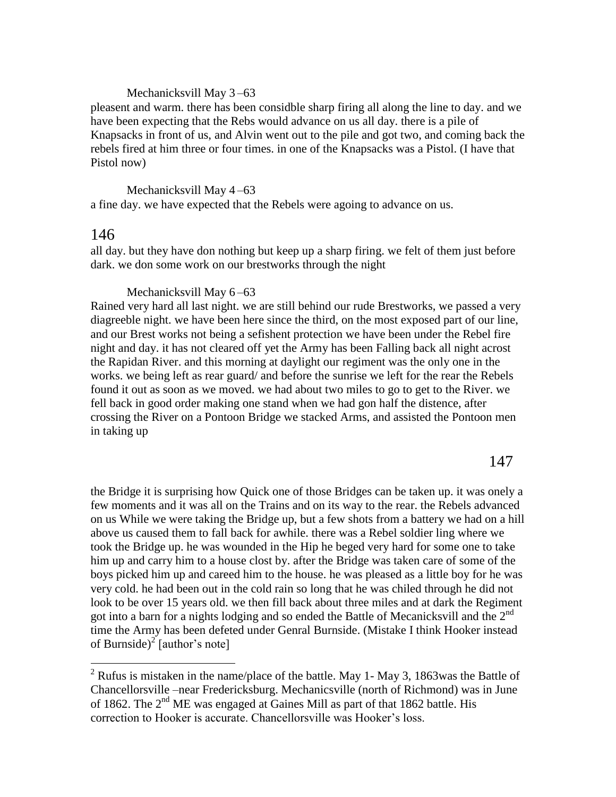#### Mechanicksvill May 3 –63

pleasent and warm. there has been considble sharp firing all along the line to day. and we have been expecting that the Rebs would advance on us all day. there is a pile of Knapsacks in front of us, and Alvin went out to the pile and got two, and coming back the rebels fired at him three or four times. in one of the Knapsacks was a Pistol. (I have that Pistol now)

Mechanicksvill May 4 –63 a fine day. we have expected that the Rebels were agoing to advance on us.

## 146

 $\overline{a}$ 

all day. but they have don nothing but keep up a sharp firing. we felt of them just before dark. we don some work on our brestworks through the night

#### Mechanicksvill May  $6 - 63$

Rained very hard all last night. we are still behind our rude Brestworks, we passed a very diagreeble night. we have been here since the third, on the most exposed part of our line, and our Brest works not being a sefishent protection we have been under the Rebel fire night and day. it has not cleared off yet the Army has been Falling back all night acrost the Rapidan River. and this morning at daylight our regiment was the only one in the works. we being left as rear guard/ and before the sunrise we left for the rear the Rebels found it out as soon as we moved. we had about two miles to go to get to the River. we fell back in good order making one stand when we had gon half the distence, after crossing the River on a Pontoon Bridge we stacked Arms, and assisted the Pontoon men in taking up

147

the Bridge it is surprising how Quick one of those Bridges can be taken up. it was onely a few moments and it was all on the Trains and on its way to the rear. the Rebels advanced on us While we were taking the Bridge up, but a few shots from a battery we had on a hill above us caused them to fall back for awhile. there was a Rebel soldier ling where we took the Bridge up. he was wounded in the Hip he beged very hard for some one to take him up and carry him to a house clost by. after the Bridge was taken care of some of the boys picked him up and careed him to the house. he was pleased as a little boy for he was very cold. he had been out in the cold rain so long that he was chiled through he did not look to be over 15 years old. we then fill back about three miles and at dark the Regiment got into a barn for a nights lodging and so ended the Battle of Mecanicksvill and the  $2<sup>nd</sup>$ time the Army has been defeted under Genral Burnside. (Mistake I think Hooker instead of Burnside)<sup>2</sup> [author's note]

<sup>&</sup>lt;sup>2</sup> Rufus is mistaken in the name/place of the battle. May 1- May 3, 1863was the Battle of Chancellorsville –near Fredericksburg. Mechanicsville (north of Richmond) was in June of 1862. The  $2<sup>nd</sup>$  ME was engaged at Gaines Mill as part of that 1862 battle. His correction to Hooker is accurate. Chancellorsville was Hooker's loss.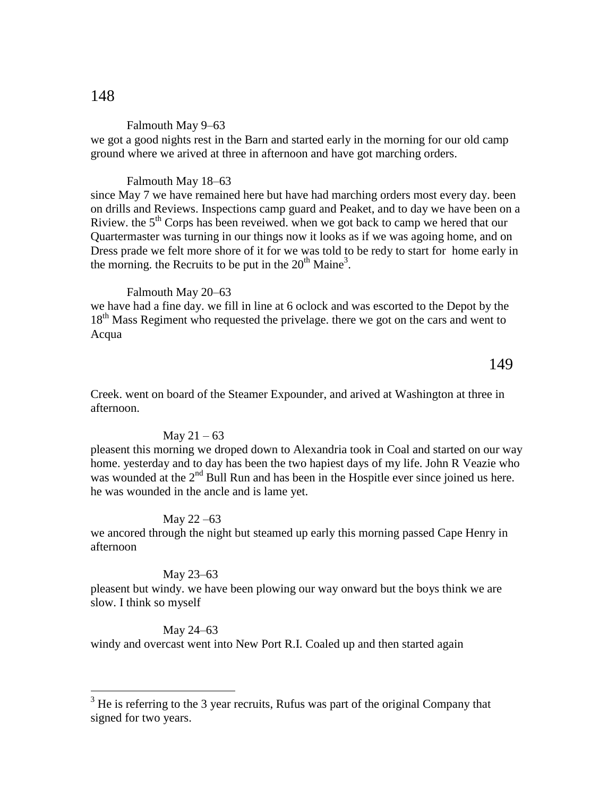#### Falmouth May 9–63

we got a good nights rest in the Barn and started early in the morning for our old camp ground where we arived at three in afternoon and have got marching orders.

#### Falmouth May 18–63

since May 7 we have remained here but have had marching orders most every day. been on drills and Reviews. Inspections camp guard and Peaket, and to day we have been on a Riview. the 5<sup>th</sup> Corps has been reveiwed. when we got back to camp we hered that our Quartermaster was turning in our things now it looks as if we was agoing home, and on Dress prade we felt more shore of it for we was told to be redy to start for home early in the morning. the Recruits to be put in the  $20<sup>th</sup>$  Maine<sup>3</sup>.

#### Falmouth May 20–63

we have had a fine day. we fill in line at 6 oclock and was escorted to the Depot by the 18<sup>th</sup> Mass Regiment who requested the privelage. there we got on the cars and went to Acqua

### 149

Creek. went on board of the Steamer Expounder, and arived at Washington at three in afternoon.

#### May  $21 - 63$

pleasent this morning we droped down to Alexandria took in Coal and started on our way home. yesterday and to day has been the two hapiest days of my life. John R Veazie who was wounded at the 2<sup>nd</sup> Bull Run and has been in the Hospitle ever since joined us here. he was wounded in the ancle and is lame yet.

#### May 22 –63

we ancored through the night but steamed up early this morning passed Cape Henry in afternoon

#### May 23–63

pleasent but windy. we have been plowing our way onward but the boys think we are slow. I think so myself

#### May 24–63

 $\overline{a}$ 

windy and overcast went into New Port R.I. Coaled up and then started again

<sup>&</sup>lt;sup>3</sup> He is referring to the 3 year recruits, Rufus was part of the original Company that signed for two years.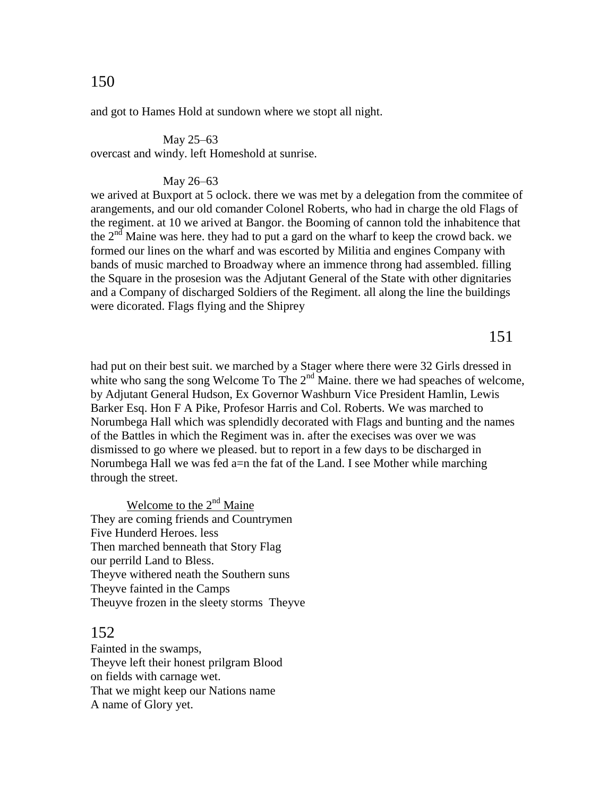### and got to Hames Hold at sundown where we stopt all night.

#### May 25–63

overcast and windy. left Homeshold at sunrise.

#### May 26–63

we arived at Buxport at 5 oclock. there we was met by a delegation from the commitee of arangements, and our old comander Colonel Roberts, who had in charge the old Flags of the regiment. at 10 we arived at Bangor. the Booming of cannon told the inhabitence that the  $2<sup>nd</sup>$  Maine was here. they had to put a gard on the wharf to keep the crowd back. we formed our lines on the wharf and was escorted by Militia and engines Company with bands of music marched to Broadway where an immence throng had assembled. filling the Square in the prosesion was the Adjutant General of the State with other dignitaries and a Company of discharged Soldiers of the Regiment. all along the line the buildings were dicorated. Flags flying and the Shiprey

151

had put on their best suit. we marched by a Stager where there were 32 Girls dressed in white who sang the song Welcome To The  $2<sup>nd</sup>$  Maine. there we had speaches of welcome, by Adjutant General Hudson, Ex Governor Washburn Vice President Hamlin, Lewis Barker Esq. Hon F A Pike, Profesor Harris and Col. Roberts. We was marched to Norumbega Hall which was splendidly decorated with Flags and bunting and the names of the Battles in which the Regiment was in. after the execises was over we was dismissed to go where we pleased. but to report in a few days to be discharged in Norumbega Hall we was fed a=n the fat of the Land. I see Mother while marching through the street.

Welcome to the 2<sup>nd</sup> Maine They are coming friends and Countrymen Five Hunderd Heroes. less Then marched benneath that Story Flag our perrild Land to Bless. Theyve withered neath the Southern suns Theyve fainted in the Camps Theuyve frozen in the sleety storms Theyve

## 152

Fainted in the swamps, Theyve left their honest prilgram Blood on fields with carnage wet. That we might keep our Nations name A name of Glory yet.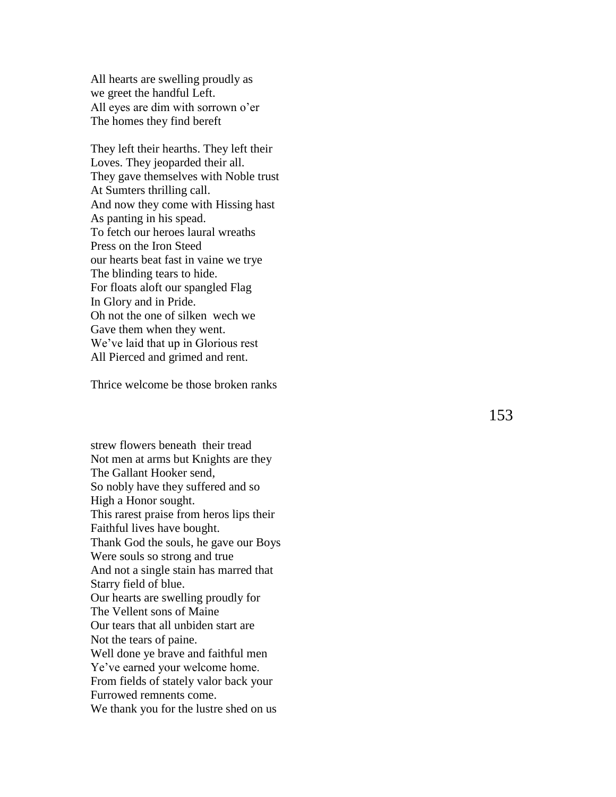All hearts are swelling proudly as we greet the handful Left. All eyes are dim with sorrown o'er The homes they find bereft

They left their hearths. They left their Loves. They jeoparded their all. They gave themselves with Noble trust At Sumters thrilling call. And now they come with Hissing hast As panting in his spead . To fetch our heroes laural wreaths Press on the Iron Steed our hearts beat fast in vaine we trye The blinding tears to hide. For floats aloft our spangled Flag In Glory and in Pride. Oh not the one of silken wech we Gave them when they went. We've laid that up in Glorious rest All Pierced and grimed and rent.

Thrice welcome be those broken ranks

strew flowers beneath their tread Not men at arms but Knights are they The Gallant Hooker send, So nobly have they suffered and so High a Honor sought. This rarest praise from heros lips their Faithful lives have bought. Thank God the souls, he gave our Boys Were souls so strong and true And not a single stain has marred that Starry field of blue. Our hearts are swelling proudly for The Vellent sons of Maine Our tears that all unbiden start are Not the tears of paine. Well done ye brave and faithful men Ye've earned your welcome home. From fields of stately valor back your Furrowed remnents come. We thank you for the lustre shed on us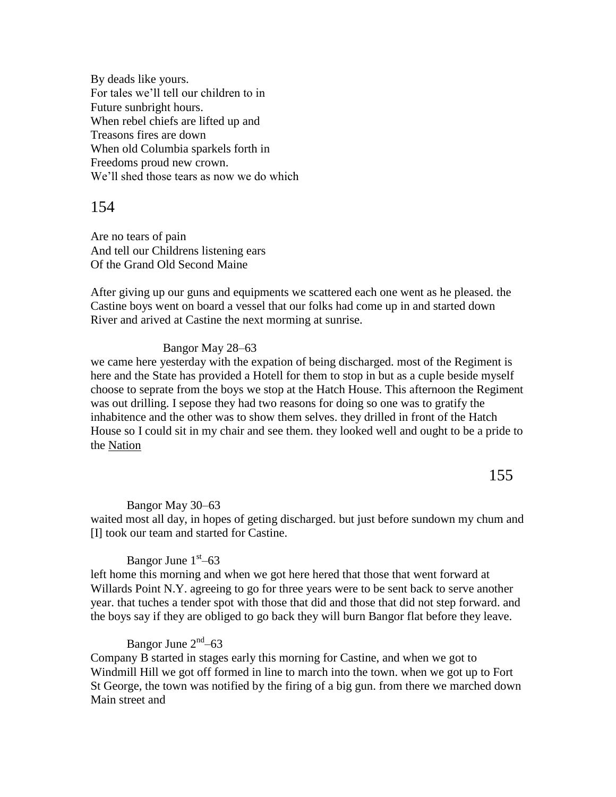By deads like yours. For tales we'll tell our children to in Future sunbright hours. When rebel chiefs are lifted up and Treasons fires are down When old Columbia sparkels forth in Freedoms proud new crown. We'll shed those tears as now we do which

154

Are no tears of pain And tell our Childrens listening ears Of the Grand Old Second Maine

After giving up our guns and equipments we scattered each one went as he pleased. the Castine boys went on board a vessel that our folks had come up in and started down River and arived at Castine the next morming at sunrise.

### Bangor May 28–63

we came here yesterday with the expation of being discharged. most of the Regiment is here and the State has provided a Hotell for them to stop in but as a cuple beside myself choose to seprate from the boys we stop at the Hatch House. This afternoon the Regiment was out drilling. I sepose they had two reasons for doing so one was to gratify the inhabitence and the other was to show them selves. they drilled in front of the Hatch House so I could sit in my chair and see them. they looked well and ought to be a pride to the Nation

155

#### Bangor May 30–63

waited most all day, in hopes of geting discharged. but just before sundown my chum and [I] took our team and started for Castine.

## Bangor June  $1<sup>st</sup> - 63$

left home this morning and when we got here hered that those that went forward at Willards Point N.Y. agreeing to go for three years were to be sent back to serve another year. that tuches a tender spot with those that did and those that did not step forward. and the boys say if they are obliged to go back they will burn Bangor flat before they leave.

## Bangor June 2<sup>nd</sup>–63

Company B started in stages early this morning for Castine, and when we got to Windmill Hill we got off formed in line to march into the town. when we got up to Fort St George, the town was notified by the firing of a big gun. from there we marched down Main street and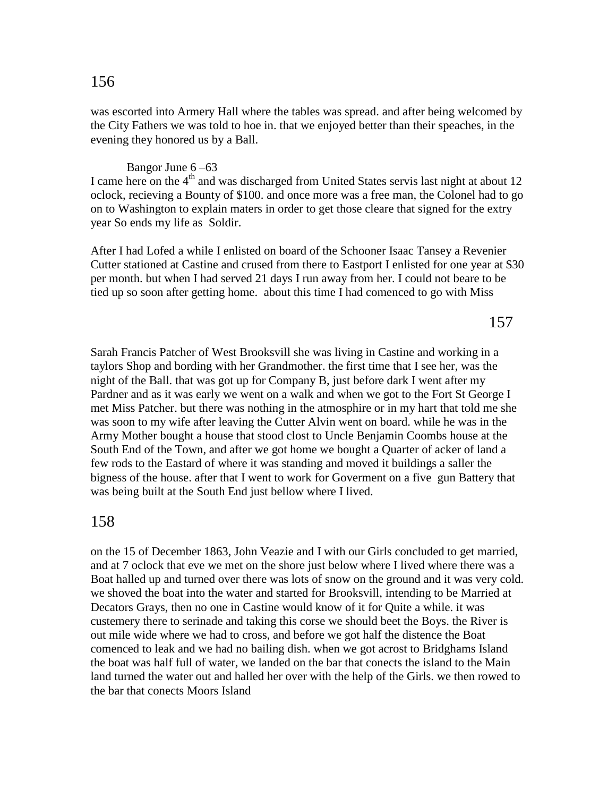## was escorted into Armery Hall where the tables was spread. and after being welcomed by the City Fathers we was told to hoe in. that we enjoyed better than their speaches, in the evening they honored us by a Ball.

Bangor June 6 –63

I came here on the  $4<sup>th</sup>$  and was discharged from United States servis last night at about 12 oclock, recieving a Bounty of \$100. and once more was a free man, the Colonel had to go on to Washington to explain maters in order to get those cleare that signed for the extry year So ends my life as Soldir.

After I had Lofed a while I enlisted on board of the Schooner Isaac Tansey a Revenier Cutter stationed at Castine and crused from there to Eastport I enlisted for one year at \$30 per month. but when I had served 21 days I run away from her. I could not beare to be tied up so soon after getting home. about this time I had comenced to go with Miss

157

Sarah Francis Patcher of West Brooksvill she was living in Castine and working in a taylors Shop and bording with her Grandmother. the first time that I see her, was the night of the Ball. that was got up for Company B, just before dark I went after my Pardner and as it was early we went on a walk and when we got to the Fort St George I met Miss Patcher. but there was nothing in the atmosphire or in my hart that told me she was soon to my wife after leaving the Cutter Alvin went on board. while he was in the Army Mother bought a house that stood clost to Uncle Benjamin Coombs house at the South End of the Town, and after we got home we bought a Quarter of acker of land a few rods to the Eastard of where it was standing and moved it buildings a saller the bigness of the house. after that I went to work for Goverment on a five gun Battery that was being built at the South End just bellow where I lived.

## 158

on the 15 of December 1863, John Veazie and I with our Girls concluded to get married, and at 7 oclock that eve we met on the shore just below where I lived where there was a Boat halled up and turned over there was lots of snow on the ground and it was very cold. we shoved the boat into the water and started for Brooksvill, intending to be Married at Decators Grays, then no one in Castine would know of it for Quite a while. it was custemery there to serinade and taking this corse we should beet the Boys. the River is out mile wide where we had to cross, and before we got half the distence the Boat comenced to leak and we had no bailing dish. when we got acrost to Bridghams Island the boat was half full of water, we landed on the bar that conects the island to the Main land turned the water out and halled her over with the help of the Girls. we then rowed to the bar that conects Moors Island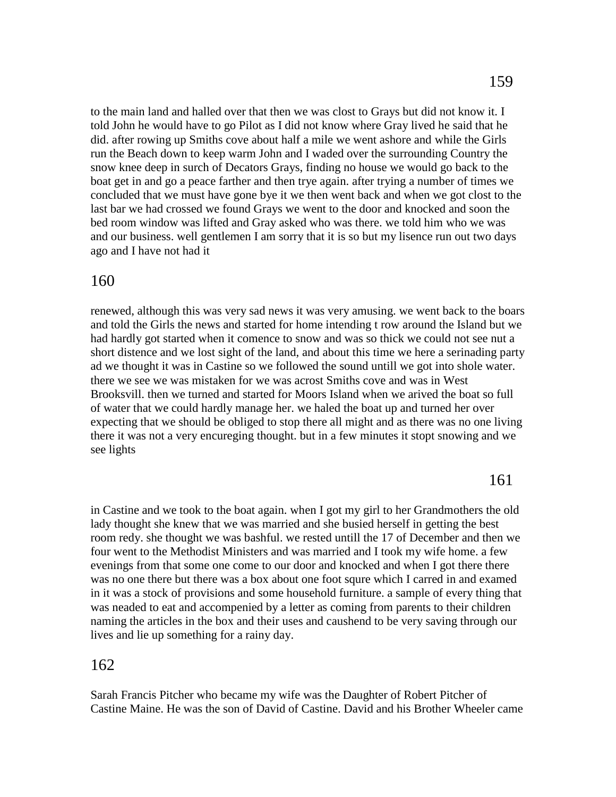to the main land and halled over that then we was clost to Grays but did not know it. I told John he would have to go Pilot as I did not know where Gray lived he said that he did. after rowing up Smiths cove about half a mile we went ashore and while the Girls run the Beach down to keep warm John and I waded over the surrounding Country the snow knee deep in surch of Decators Grays, finding no house we would go back to the boat get in and go a peace farther and then trye again. after trying a number of times we concluded that we must have gone bye it we then went back and when we got clost to the last bar we had crossed we found Grays we went to the door and knocked and soon the bed room window was lifted and Gray asked who was there. we told him who we was and our business. well gentlemen I am sorry that it is so but my lisence run out two days ago and I have not had it

## 160

renewed, although this was very sad news it was very amusing. we went back to the boars and told the Girls the news and started for home intending t row around the Island but we had hardly got started when it comence to snow and was so thick we could not see nut a short distence and we lost sight of the land, and about this time we here a serinading party ad we thought it was in Castine so we followed the sound untill we got into shole water. there we see we was mistaken for we was acrost Smiths cove and was in West Brooksvill. then we turned and started for Moors Island when we arived the boat so full of water that we could hardly manage her. we haled the boat up and turned her over expecting that we should be obliged to stop there all might and as there was no one living there it was not a very encureging thought. but in a few minutes it stopt snowing and we see lights

## 161

in Castine and we took to the boat again. when I got my girl to her Grandmothers the old lady thought she knew that we was married and she busied herself in getting the best room redy. she thought we was bashful. we rested untill the 17 of December and then we four went to the Methodist Ministers and was married and I took my wife home. a few evenings from that some one come to our door and knocked and when I got there there was no one there but there was a box about one foot squre which I carred in and examed in it was a stock of provisions and some household furniture. a sample of every thing that was neaded to eat and accompenied by a letter as coming from parents to their children naming the articles in the box and their uses and caushend to be very saving through our lives and lie up something for a rainy day.

## 162

Sarah Francis Pitcher who became my wife was the Daughter of Robert Pitcher of Castine Maine. He was the son of David of Castine. David and his Brother Wheeler came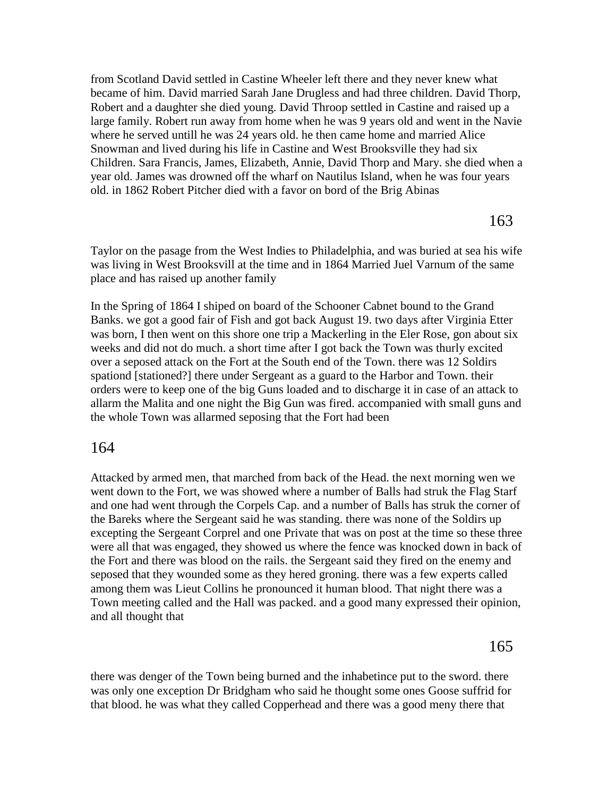from Scotland David settled in Castine Wheeler left there and they never knew what became of him. David married Sarah Jane Drugless and had three children. David Thorp, Robert and a daughter she died young. David Throop settled in Castine and raised up a large family. Robert run away from home when he was 9 years old and went in the Navie where he served untill he was 24 years old. he then came home and married Alice Snowman and lived during his life in Castine and West Brooksville they had six Children. Sara Francis, James, Elizabeth, Annie, David Thorp and Mary. she died when a year old. James was drowned off the wharf on Nautilus Island, when he was four years old. in 1862 Robert Pitcher died with a favor on bord of the Brig Abinas

163

Taylor on the pasage from the West Indies to Philadelphia, and was buried at sea his wife was living in West Brooksvill at the time and in 1864 Married Juel Varnum of the same place and has raised up another family

In the Spring of 1864 I shiped on board of the Schooner Cabnet bound to the Grand Banks. we got a good fair of Fish and got back August 19. two days after Virginia Etter was born, I then went on this shore one trip a Mackerling in the Eler Rose, gon about six weeks and did not do much. a short time after I got back the Town was thurly excited over a seposed attack on the Fort at the South end of the Town. there was 12 Soldirs spationd [stationed?] there under Sergeant as a guard to the Harbor and Town. their orders were to keep one of the big Guns loaded and to discharge it in case of an attack to allarm the Malita and one night the Big Gun was fired. accompanied with small guns and the whole Town was allarmed seposing that the Fort had been

### 164

Attacked by armed men, that marched from back of the Head. the next morning wen we went down to the Fort, we was showed where a number of Balls had struk the Flag Starf and one had went through the Corpels Cap. and a number of Balls has struk the corner of the Bareks where the Sergeant said he was standing. there was none of the Soldirs up excepting the Sergeant Corprel and one Private that was on post at the time so these three were all that was engaged, they showed us where the fence was knocked down in back of the Fort and there was blood on the rails. the Sergeant said they fired on the enemy and seposed that they wounded some as they hered groning. there was a few experts called among them was Lieut Collins he pronounced it human blood. That night there was a Town meeting called and the Hall was packed. and a good many expressed their opinion, and all thought that

165

there was denger of the Town being burned and the inhabetince put to the sword. there was only one exception Dr Bridgham who said he thought some ones Goose suffrid for that blood. he was what they called Copperhead and there was a good meny there that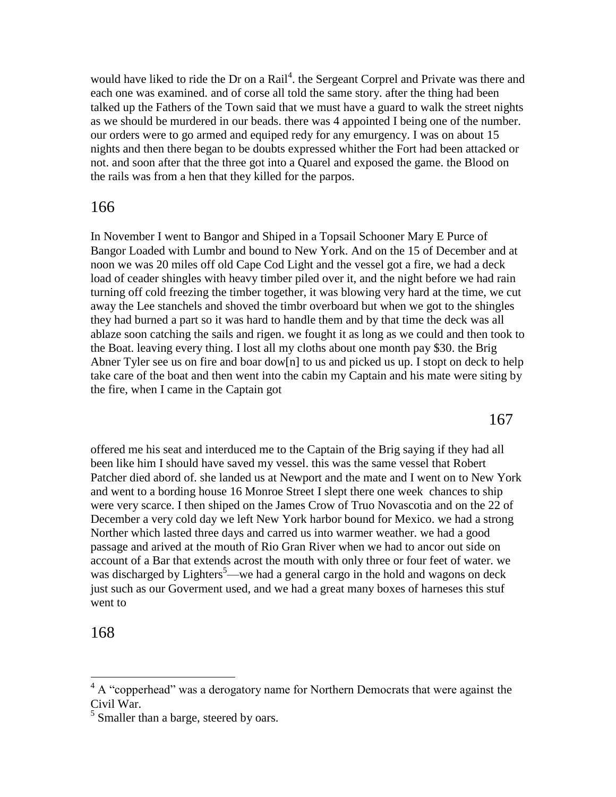would have liked to ride the Dr on a Rail<sup>4</sup>. the Sergeant Corprel and Private was there and each one was examined. and of corse all told the same story. after the thing had been talked up the Fathers of the Town said that we must have a guard to walk the street nights as we should be murdered in our beads. there was 4 appointed I being one of the number. our orders were to go armed and equiped redy for any emurgency. I was on about 15 nights and then there began to be doubts expressed whither the Fort had been attacked or not. and soon after that the three got into a Quarel and exposed the game. the Blood on the rails was from a hen that they killed for the parpos.

## 166

In November I went to Bangor and Shiped in a Topsail Schooner Mary E Purce of Bangor Loaded with Lumbr and bound to New York. And on the 15 of December and at noon we was 20 miles off old Cape Cod Light and the vessel got a fire, we had a deck load of ceader shingles with heavy timber piled over it, and the night before we had rain turning off cold freezing the timber together, it was blowing very hard at the time, we cut away the Lee stanchels and shoved the timbr overboard but when we got to the shingles they had burned a part so it was hard to handle them and by that time the deck was all ablaze soon catching the sails and rigen. we fought it as long as we could and then took to the Boat. leaving every thing. I lost all my cloths about one month pay \$30. the Brig Abner Tyler see us on fire and boar dow[n] to us and picked us up. I stopt on deck to help take care of the boat and then went into the cabin my Captain and his mate were siting by the fire, when I came in the Captain got

167

offered me his seat and interduced me to the Captain of the Brig saying if they had all been like him I should have saved my vessel. this was the same vessel that Robert Patcher died abord of. she landed us at Newport and the mate and I went on to New York and went to a bording house 16 Monroe Street I slept there one week chances to ship were very scarce. I then shiped on the James Crow of Truo Novascotia and on the 22 of December a very cold day we left New York harbor bound for Mexico. we had a strong Norther which lasted three days and carred us into warmer weather. we had a good passage and arived at the mouth of Rio Gran River when we had to ancor out side on account of a Bar that extends acrost the mouth with only three or four feet of water. we was discharged by Lighters<sup>5</sup>—we had a general cargo in the hold and wagons on deck just such as our Goverment used, and we had a great many boxes of harneses this stuf went to

## 168

 $\overline{a}$ 

 $4 \text{ A}$  "copperhead" was a derogatory name for Northern Democrats that were against the Civil War.

<sup>&</sup>lt;sup>5</sup> Smaller than a barge, steered by oars.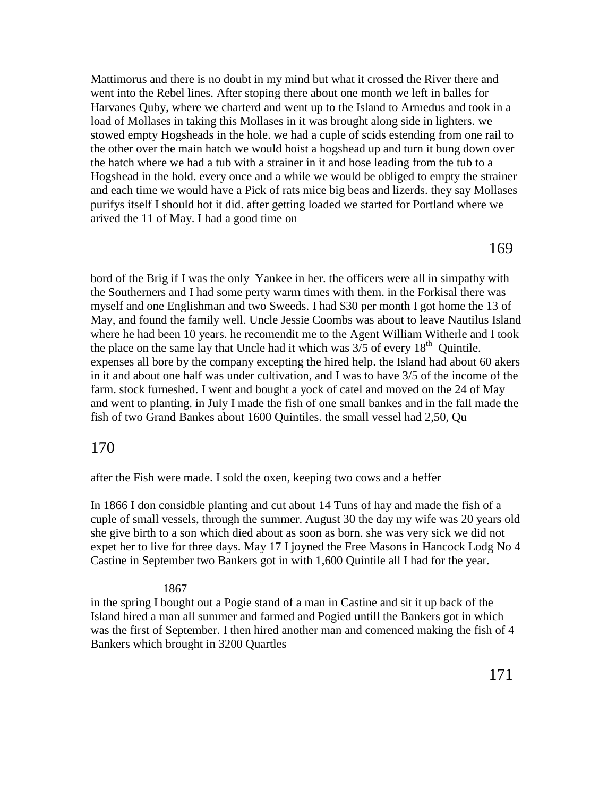Mattimorus and there is no doubt in my mind but what it crossed the River there and went into the Rebel lines. After stoping there about one month we left in balles for Harvanes Quby, where we charterd and went up to the Island to Armedus and took in a load of Mollases in taking this Mollases in it was brought along side in lighters. we stowed empty Hogsheads in the hole. we had a cuple of scids estending from one rail to the other over the main hatch we would hoist a hogshead up and turn it bung down over the hatch where we had a tub with a strainer in it and hose leading from the tub to a Hogshead in the hold. every once and a while we would be obliged to empty the strainer and each time we would have a Pick of rats mice big beas and lizerds. they say Mollases purifys itself I should hot it did. after getting loaded we started for Portland where we arived the 11 of May. I had a good time on

169

bord of the Brig if I was the only Yankee in her. the officers were all in simpathy with the Southerners and I had some perty warm times with them. in the Forkisal there was myself and one Englishman and two Sweeds. I had \$30 per month I got home the 13 of May, and found the family well. Uncle Jessie Coombs was about to leave Nautilus Island where he had been 10 years. he recomendit me to the Agent William Witherle and I took the place on the same lay that Uncle had it which was  $3/5$  of every  $18<sup>th</sup>$  Quintile. expenses all bore by the company excepting the hired help. the Island had about 60 akers in it and about one half was under cultivation, and I was to have 3/5 of the income of the farm. stock furneshed. I went and bought a yock of catel and moved on the 24 of May and went to planting. in July I made the fish of one small bankes and in the fall made the fish of two Grand Bankes about 1600 Quintiles. the small vessel had 2,50, Qu

## 170

after the Fish were made. I sold the oxen, keeping two cows and a heffer

In 1866 I don considble planting and cut about 14 Tuns of hay and made the fish of a cuple of small vessels, through the summer. August 30 the day my wife was 20 years old she give birth to a son which died about as soon as born. she was very sick we did not expet her to live for three days. May 17 I joyned the Free Masons in Hancock Lodg No 4 Castine in September two Bankers got in with 1,600 Quintile all I had for the year.

### 1867

in the spring I bought out a Pogie stand of a man in Castine and sit it up back of the Island hired a man all summer and farmed and Pogied untill the Bankers got in which was the first of September. I then hired another man and comenced making the fish of 4 Bankers which brought in 3200 Quartles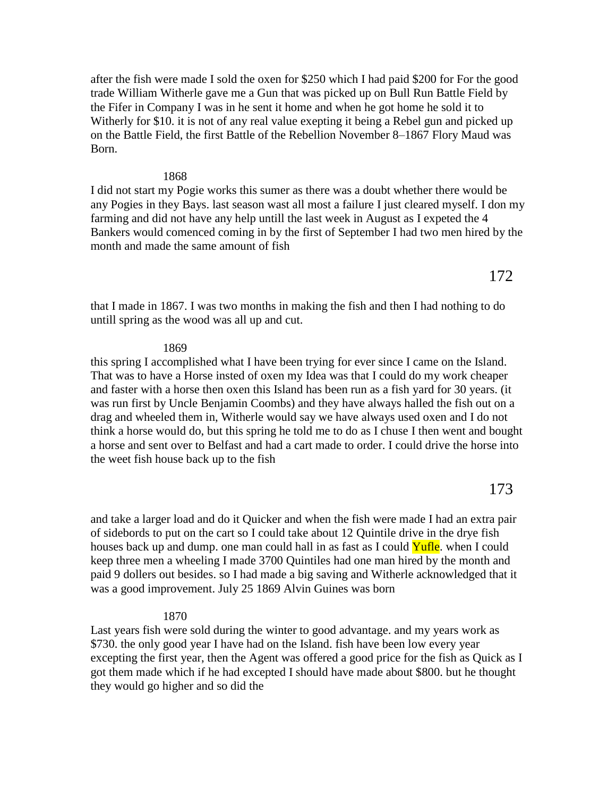after the fish were made I sold the oxen for \$250 which I had paid \$200 for For the good trade William Witherle gave me a Gun that was picked up on Bull Run Battle Field by the Fifer in Company I was in he sent it home and when he got home he sold it to Witherly for \$10. it is not of any real value exepting it being a Rebel gun and picked up on the Battle Field, the first Battle of the Rebellion November 8–1867 Flory Maud was Born.

#### 1868

I did not start my Pogie works this sumer as there was a doubt whether there would be any Pogies in they Bays. last season wast all most a failure I just cleared myself. I don my farming and did not have any help untill the last week in August as I expeted the 4 Bankers would comenced coming in by the first of September I had two men hired by the month and made the same amount of fish

that I made in 1867. I was two months in making the fish and then I had nothing to do untill spring as the wood was all up and cut.

#### 1869

this spring I accomplished what I have been trying for ever since I came on the Island. That was to have a Horse insted of oxen my Idea was that I could do my work cheaper and faster with a horse then oxen this Island has been run as a fish yard for 30 years. (it was run first by Uncle Benjamin Coombs) and they have always halled the fish out on a drag and wheeled them in, Witherle would say we have always used oxen and I do not think a horse would do, but this spring he told me to do as I chuse I then went and bought a horse and sent over to Belfast and had a cart made to order. I could drive the horse into the weet fish house back up to the fish

173

and take a larger load and do it Quicker and when the fish were made I had an extra pair of sidebords to put on the cart so I could take about 12 Quintile drive in the drye fish houses back up and dump. one man could hall in as fast as I could Yufle. when I could keep three men a wheeling I made 3700 Quintiles had one man hired by the month and paid 9 dollers out besides. so I had made a big saving and Witherle acknowledged that it was a good improvement. July 25 1869 Alvin Guines was born

#### 1870

Last years fish were sold during the winter to good advantage. and my years work as \$730. the only good year I have had on the Island. fish have been low every year excepting the first year, then the Agent was offered a good price for the fish as Quick as I got them made which if he had excepted I should have made about \$800. but he thought they would go higher and so did the